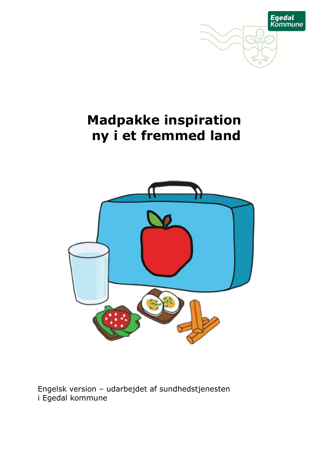

# **Madpakke inspiration ny i et fremmed land**



Engelsk version – udarbejdet af sundhedstjenesten i Egedal kommune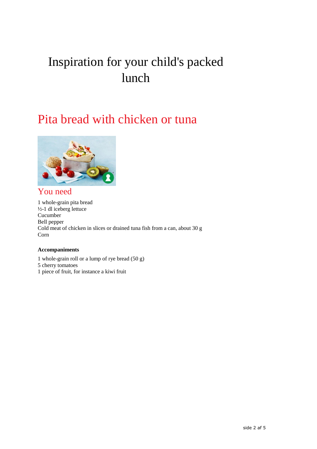## Inspiration for your child's packed lunch

## Pita bread with chicken or tuna



## You need

1 whole-grain pita bread  $\frac{1}{2}$ -1 dl iceberg lettuce Cucumber Bell pepper Cold meat of chicken in slices or drained tuna fish from a can, about 30 g Corn

#### **Accompaniments**

1 whole-grain roll or a lump of rye bread (50 g) 5 cherry tomatoes 1 piece of fruit, for instance a kiwi fruit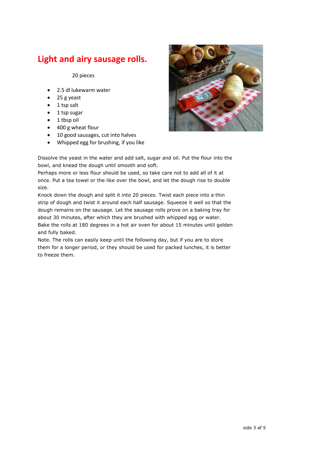## **Light and airy sausage rolls.**

20 pieces

- 2.5 dl lukewarm water
- 25 g yeast
- $\bullet$  1 tsp salt
- 1 tsp sugar
- 1 tbsp oil
- 400 g wheat flour
- 10 good sausages, cut into halves
- Whipped egg for brushing, if you like



Dissolve the yeast in the water and add salt, sugar and oil. Put the flour into the bowl, and knead the dough until smooth and soft.

Perhaps more or less flour should be used, so take care not to add all of it at once. Put a tea towel or the like over the bowl, and let the dough rise to double size.

Knock down the dough and split it into 20 pieces. Twist each piece into a thin strip of dough and twist it around each half sausage. Squeeze it well so that the dough remains on the sausage. Let the sausage rolls prove on a baking tray for about 30 minutes, after which they are brushed with whipped egg or water. Bake the rolls at 180 degrees in a hot air oven for about 15 minutes until golden and fully baked.

Note. The rolls can easily keep until the following day, but if you are to store them for a longer period, or they should be used for packed lunches, it is better to freeze them.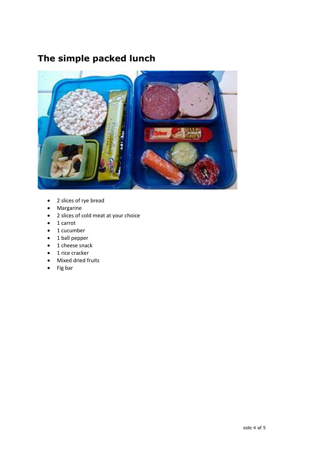## **The simple packed lunch**



- 2 slices of rye bread
- Margarine
- 2 slices of cold meat at your choice
- 1 carrot
- 1 cucumber
- 1 ball pepper
- 1 cheese snack
- 1 rice cracker
- Mixed dried fruits
- $\bullet$  Fig bar